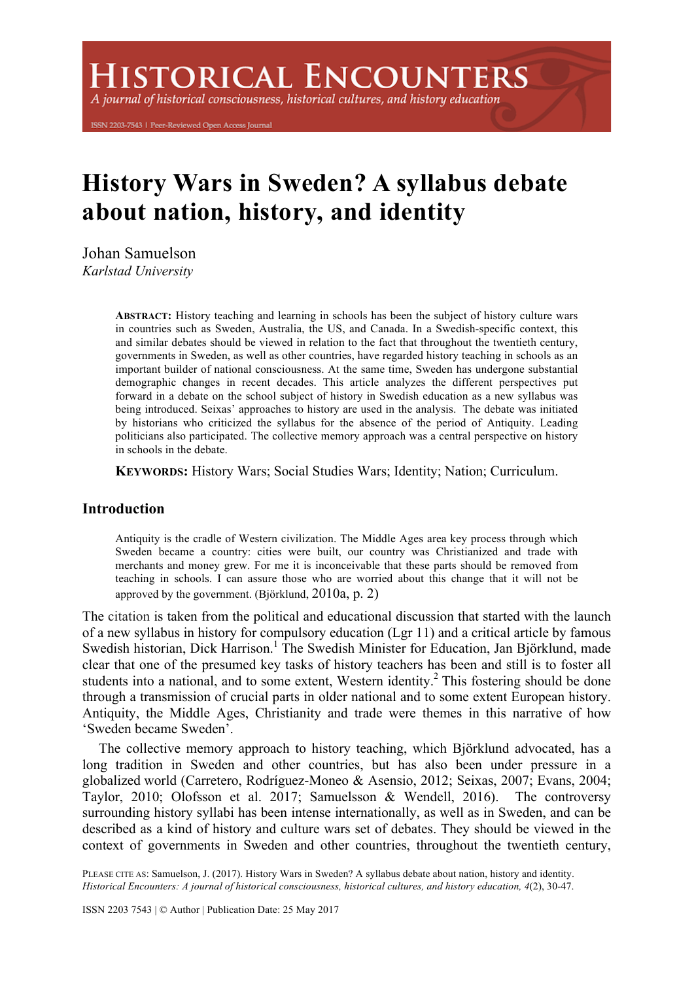**ISTORICAL ENCOUNTERS** 

A journal of historical consciousness, historical cultures, and history education

ISSN 2203-7543 | Peer-Reviewed Open Access Journal

# **History Wars in Sweden? A syllabus debate about nation, history, and identity**

Johan Samuelson

*Karlstad University*

**ABSTRACT:** History teaching and learning in schools has been the subject of history culture wars in countries such as Sweden, Australia, the US, and Canada. In a Swedish-specific context, this and similar debates should be viewed in relation to the fact that throughout the twentieth century, governments in Sweden, as well as other countries, have regarded history teaching in schools as an important builder of national consciousness. At the same time, Sweden has undergone substantial demographic changes in recent decades. This article analyzes the different perspectives put forward in a debate on the school subject of history in Swedish education as a new syllabus was being introduced. Seixas' approaches to history are used in the analysis. The debate was initiated by historians who criticized the syllabus for the absence of the period of Antiquity. Leading politicians also participated. The collective memory approach was a central perspective on history in schools in the debate.

**KEYWORDS:** History Wars; Social Studies Wars; Identity; Nation; Curriculum.

# **Introduction**

Antiquity is the cradle of Western civilization. The Middle Ages area key process through which Sweden became a country: cities were built, our country was Christianized and trade with merchants and money grew. For me it is inconceivable that these parts should be removed from teaching in schools. I can assure those who are worried about this change that it will not be approved by the government. (Björklund, 2010a, p. 2)

The citation is taken from the political and educational discussion that started with the launch of a new syllabus in history for compulsory education (Lgr 11) and a critical article by famous Swedish historian, Dick Harrison.<sup>1</sup> The Swedish Minister for Education, Jan Björklund, made clear that one of the presumed key tasks of history teachers has been and still is to foster all students into a national, and to some extent, Western identity.<sup>2</sup> This fostering should be done through a transmission of crucial parts in older national and to some extent European history. Antiquity, the Middle Ages, Christianity and trade were themes in this narrative of how 'Sweden became Sweden'.

The collective memory approach to history teaching, which Björklund advocated, has a long tradition in Sweden and other countries, but has also been under pressure in a globalized world (Carretero, Rodríguez-Moneo & Asensio, 2012; Seixas, 2007; Evans, 2004; Taylor, 2010; Olofsson et al. 2017; Samuelsson & Wendell, 2016). The controversy surrounding history syllabi has been intense internationally, as well as in Sweden, and can be described as a kind of history and culture wars set of debates. They should be viewed in the context of governments in Sweden and other countries, throughout the twentieth century,

PLEASE CITE AS: Samuelson, J. (2017). History Wars in Sweden? A syllabus debate about nation, history and identity. *Historical Encounters: A journal of historical consciousness, historical cultures, and history education, 4*(2), 30-47.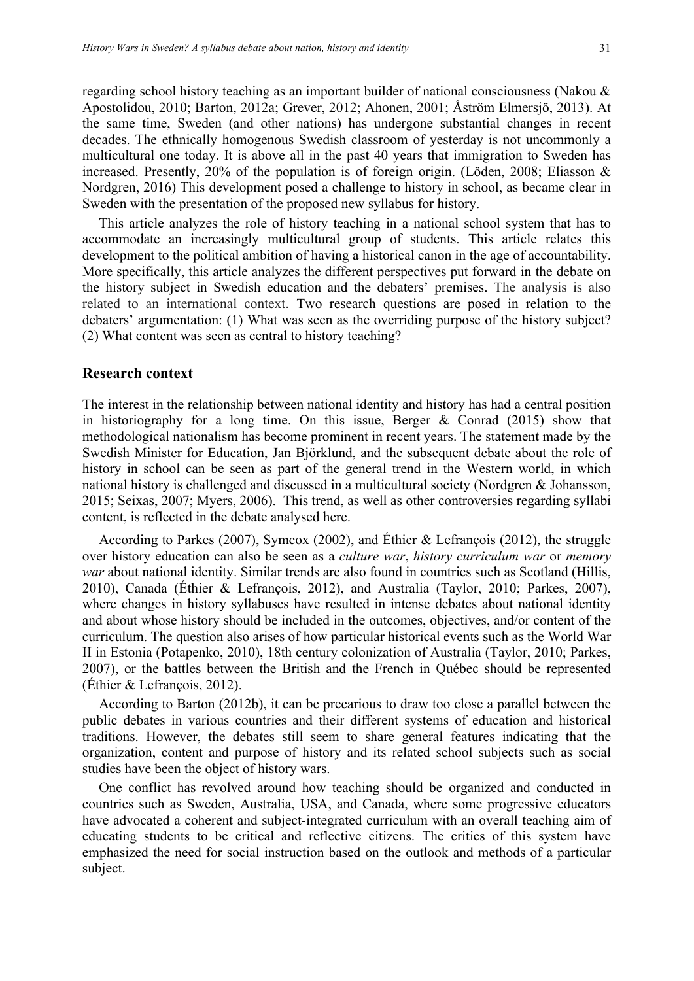regarding school history teaching as an important builder of national consciousness (Nakou & Apostolidou, 2010; Barton, 2012a; Grever, 2012; Ahonen, 2001; Åström Elmersjö, 2013). At the same time, Sweden (and other nations) has undergone substantial changes in recent decades. The ethnically homogenous Swedish classroom of yesterday is not uncommonly a multicultural one today. It is above all in the past 40 years that immigration to Sweden has increased. Presently, 20% of the population is of foreign origin. (Löden, 2008; Eliasson & Nordgren, 2016) This development posed a challenge to history in school, as became clear in Sweden with the presentation of the proposed new syllabus for history.

This article analyzes the role of history teaching in a national school system that has to accommodate an increasingly multicultural group of students. This article relates this development to the political ambition of having a historical canon in the age of accountability. More specifically, this article analyzes the different perspectives put forward in the debate on the history subject in Swedish education and the debaters' premises. The analysis is also related to an international context. Two research questions are posed in relation to the debaters' argumentation: (1) What was seen as the overriding purpose of the history subject? (2) What content was seen as central to history teaching?

#### **Research context**

The interest in the relationship between national identity and history has had a central position in historiography for a long time. On this issue, Berger  $\&$  Conrad (2015) show that methodological nationalism has become prominent in recent years. The statement made by the Swedish Minister for Education, Jan Björklund, and the subsequent debate about the role of history in school can be seen as part of the general trend in the Western world, in which national history is challenged and discussed in a multicultural society (Nordgren & Johansson, 2015; Seixas, 2007; Myers, 2006). This trend, as well as other controversies regarding syllabi content, is reflected in the debate analysed here.

According to Parkes (2007), Symcox (2002), and Éthier & Lefrançois (2012), the struggle over history education can also be seen as a *culture war*, *history curriculum war* or *memory war* about national identity. Similar trends are also found in countries such as Scotland (Hillis, 2010), Canada (Éthier & Lefrançois, 2012), and Australia (Taylor, 2010; Parkes, 2007), where changes in history syllabuses have resulted in intense debates about national identity and about whose history should be included in the outcomes, objectives, and/or content of the curriculum. The question also arises of how particular historical events such as the World War II in Estonia (Potapenko, 2010), 18th century colonization of Australia (Taylor, 2010; Parkes, 2007), or the battles between the British and the French in Québec should be represented (Éthier & Lefrançois, 2012).

According to Barton (2012b), it can be precarious to draw too close a parallel between the public debates in various countries and their different systems of education and historical traditions. However, the debates still seem to share general features indicating that the organization, content and purpose of history and its related school subjects such as social studies have been the object of history wars.

One conflict has revolved around how teaching should be organized and conducted in countries such as Sweden, Australia, USA, and Canada, where some progressive educators have advocated a coherent and subject-integrated curriculum with an overall teaching aim of educating students to be critical and reflective citizens. The critics of this system have emphasized the need for social instruction based on the outlook and methods of a particular subject.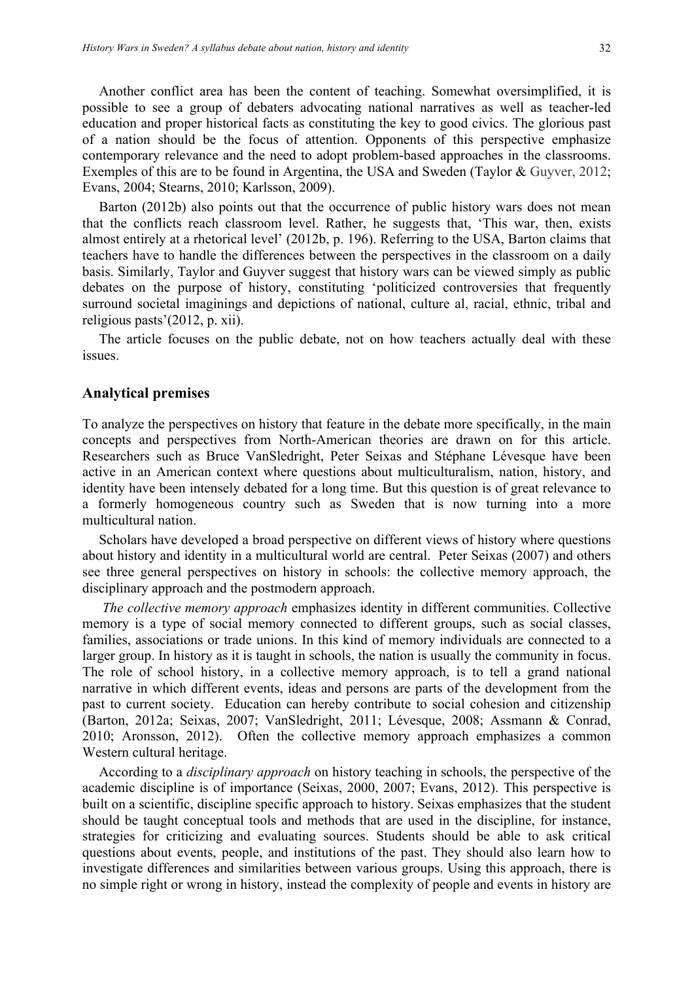Another conflict area has been the content of teaching. Somewhat oversimplified, it is possible to see a group of debaters advocating national narratives as well as teacher-led education and proper historical facts as constituting the key to good civics. The glorious past of a nation should be the focus of attention. Opponents of this perspective emphasize contemporary relevance and the need to adopt problem-based approaches in the classrooms. Exemples of this are to be found in Argentina, the USA and Sweden (Taylor & Guyver, 2012; Evans, 2004; Stearns, 2010; Karlsson, 2009).

Barton (2012b) also points out that the occurrence of public history wars does not mean that the conflicts reach classroom level. Rather, he suggests that, 'This war, then, exists almost entirely at a rhetorical level' (2012b, p. 196). Referring to the USA, Barton claims that teachers have to handle the differences between the perspectives in the classroom on a daily basis. Similarly, Taylor and Guyver suggest that history wars can be viewed simply as public debates on the purpose of history, constituting 'politicized controversies that frequently surround societal imaginings and depictions of national, culture al, racial, ethnic, tribal and religious pasts'(2012, p. xii).

The article focuses on the public debate, not on how teachers actually deal with these issues.

### **Analytical premises**

To analyze the perspectives on history that feature in the debate more specifically, in the main concepts and perspectives from North-American theories are drawn on for this article. Researchers such as Bruce VanSledright, Peter Seixas and Stéphane Lévesque have been active in an American context where questions about multiculturalism, nation, history, and identity have been intensely debated for a long time. But this question is of great relevance to a formerly homogeneous country such as Sweden that is now turning into a more multicultural nation.

Scholars have developed a broad perspective on different views of history where questions about history and identity in a multicultural world are central. Peter Seixas (2007) and others see three general perspectives on history in schools: the collective memory approach, the disciplinary approach and the postmodern approach.

*The collective memory approach* emphasizes identity in different communities. Collective memory is a type of social memory connected to different groups, such as social classes, families, associations or trade unions. In this kind of memory individuals are connected to a larger group. In history as it is taught in schools, the nation is usually the community in focus. The role of school history, in a collective memory approach, is to tell a grand national narrative in which different events, ideas and persons are parts of the development from the past to current society. Education can hereby contribute to social cohesion and citizenship (Barton, 2012a; Seixas, 2007; VanSledright, 2011; Lévesque, 2008; Assmann & Conrad, 2010; Aronsson, 2012). Often the collective memory approach emphasizes a common Western cultural heritage.

According to a *disciplinary approach* on history teaching in schools, the perspective of the academic discipline is of importance (Seixas, 2000, 2007; Evans, 2012). This perspective is built on a scientific, discipline specific approach to history. Seixas emphasizes that the student should be taught conceptual tools and methods that are used in the discipline, for instance, strategies for criticizing and evaluating sources. Students should be able to ask critical questions about events, people, and institutions of the past. They should also learn how to investigate differences and similarities between various groups. Using this approach, there is no simple right or wrong in history, instead the complexity of people and events in history are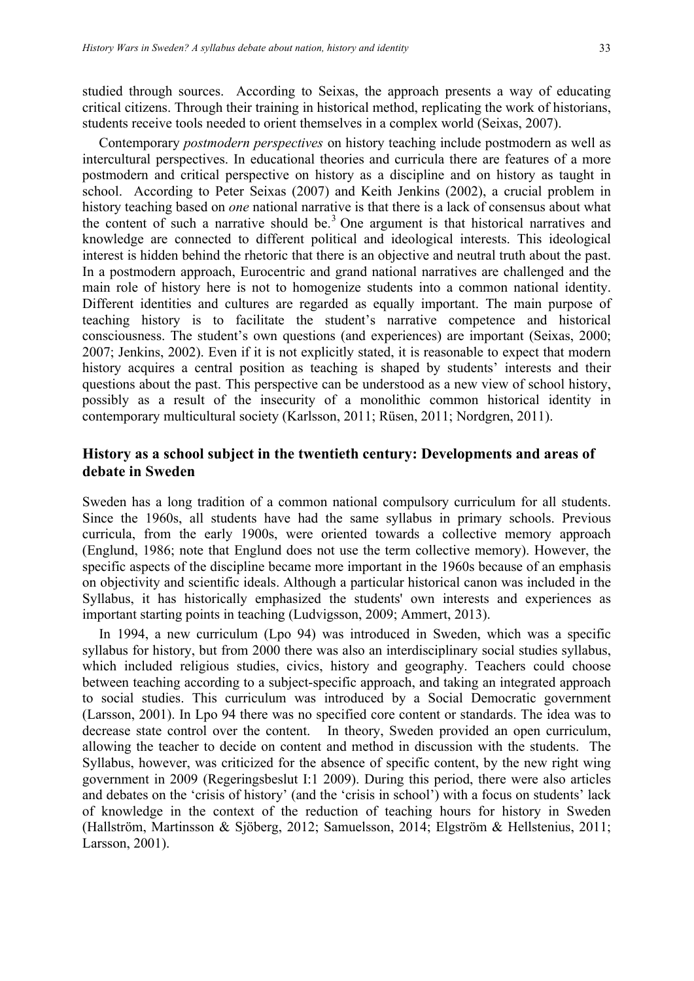studied through sources. According to Seixas, the approach presents a way of educating critical citizens. Through their training in historical method, replicating the work of historians, students receive tools needed to orient themselves in a complex world (Seixas, 2007).

Contemporary *postmodern perspectives* on history teaching include postmodern as well as intercultural perspectives. In educational theories and curricula there are features of a more postmodern and critical perspective on history as a discipline and on history as taught in school. According to Peter Seixas (2007) and Keith Jenkins (2002), a crucial problem in history teaching based on *one* national narrative is that there is a lack of consensus about what the content of such a narrative should be.<sup>3</sup> One argument is that historical narratives and knowledge are connected to different political and ideological interests. This ideological interest is hidden behind the rhetoric that there is an objective and neutral truth about the past. In a postmodern approach, Eurocentric and grand national narratives are challenged and the main role of history here is not to homogenize students into a common national identity. Different identities and cultures are regarded as equally important. The main purpose of teaching history is to facilitate the student's narrative competence and historical consciousness. The student's own questions (and experiences) are important (Seixas, 2000; 2007; Jenkins, 2002). Even if it is not explicitly stated, it is reasonable to expect that modern history acquires a central position as teaching is shaped by students' interests and their questions about the past. This perspective can be understood as a new view of school history, possibly as a result of the insecurity of a monolithic common historical identity in contemporary multicultural society (Karlsson, 2011; Rüsen, 2011; Nordgren, 2011).

# **History as a school subject in the twentieth century: Developments and areas of debate in Sweden**

Sweden has a long tradition of a common national compulsory curriculum for all students. Since the 1960s, all students have had the same syllabus in primary schools. Previous curricula, from the early 1900s, were oriented towards a collective memory approach (Englund, 1986; note that Englund does not use the term collective memory). However, the specific aspects of the discipline became more important in the 1960s because of an emphasis on objectivity and scientific ideals. Although a particular historical canon was included in the Syllabus, it has historically emphasized the students' own interests and experiences as important starting points in teaching (Ludvigsson, 2009; Ammert, 2013).

In 1994, a new curriculum (Lpo 94) was introduced in Sweden, which was a specific syllabus for history, but from 2000 there was also an interdisciplinary social studies syllabus, which included religious studies, civics, history and geography. Teachers could choose between teaching according to a subject-specific approach, and taking an integrated approach to social studies. This curriculum was introduced by a Social Democratic government (Larsson, 2001). In Lpo 94 there was no specified core content or standards. The idea was to decrease state control over the content. In theory, Sweden provided an open curriculum, allowing the teacher to decide on content and method in discussion with the students. The Syllabus, however, was criticized for the absence of specific content, by the new right wing government in 2009 (Regeringsbeslut I:1 2009). During this period, there were also articles and debates on the 'crisis of history' (and the 'crisis in school') with a focus on students' lack of knowledge in the context of the reduction of teaching hours for history in Sweden (Hallström, Martinsson & Sjöberg, 2012; Samuelsson, 2014; Elgström & Hellstenius, 2011; Larsson, 2001).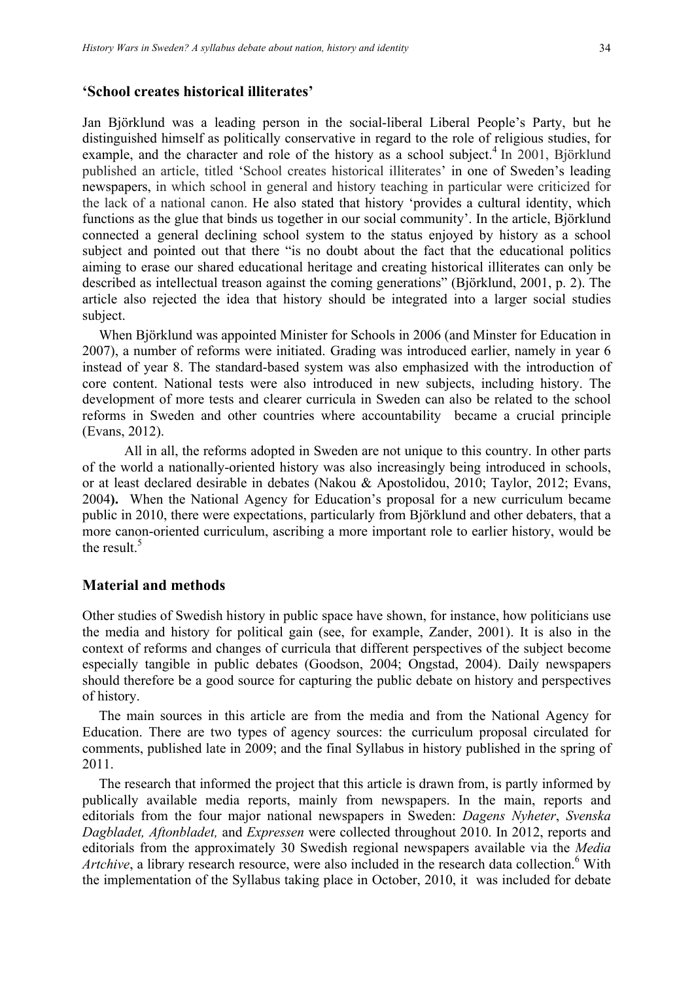#### **'School creates historical illiterates'**

Jan Björklund was a leading person in the social-liberal Liberal People's Party, but he distinguished himself as politically conservative in regard to the role of religious studies, for example, and the character and role of the history as a school subject.<sup>4</sup> In 2001, Björklund published an article, titled 'School creates historical illiterates' in one of Sweden's leading newspapers, in which school in general and history teaching in particular were criticized for the lack of a national canon. He also stated that history 'provides a cultural identity, which functions as the glue that binds us together in our social community'. In the article, Björklund connected a general declining school system to the status enjoyed by history as a school subject and pointed out that there "is no doubt about the fact that the educational politics aiming to erase our shared educational heritage and creating historical illiterates can only be described as intellectual treason against the coming generations" (Björklund, 2001, p. 2). The article also rejected the idea that history should be integrated into a larger social studies subject.

When Björklund was appointed Minister for Schools in 2006 (and Minster for Education in 2007), a number of reforms were initiated. Grading was introduced earlier, namely in year 6 instead of year 8. The standard-based system was also emphasized with the introduction of core content. National tests were also introduced in new subjects, including history. The development of more tests and clearer curricula in Sweden can also be related to the school reforms in Sweden and other countries where accountability became a crucial principle (Evans, 2012).

All in all, the reforms adopted in Sweden are not unique to this country. In other parts of the world a nationally-oriented history was also increasingly being introduced in schools, or at least declared desirable in debates (Nakou & Apostolidou, 2010; Taylor, 2012; Evans, 2004**).** When the National Agency for Education's proposal for a new curriculum became public in 2010, there were expectations, particularly from Björklund and other debaters, that a more canon-oriented curriculum, ascribing a more important role to earlier history, would be the result.<sup>5</sup>

#### **Material and methods**

Other studies of Swedish history in public space have shown, for instance, how politicians use the media and history for political gain (see, for example, Zander, 2001). It is also in the context of reforms and changes of curricula that different perspectives of the subject become especially tangible in public debates (Goodson, 2004; Ongstad, 2004). Daily newspapers should therefore be a good source for capturing the public debate on history and perspectives of history.

The main sources in this article are from the media and from the National Agency for Education. There are two types of agency sources: the curriculum proposal circulated for comments, published late in 2009; and the final Syllabus in history published in the spring of 2011.

The research that informed the project that this article is drawn from, is partly informed by publically available media reports, mainly from newspapers. In the main, reports and editorials from the four major national newspapers in Sweden: *Dagens Nyheter*, *Svenska Dagbladet, Aftonbladet,* and *Expressen* were collected throughout 2010. In 2012, reports and editorials from the approximately 30 Swedish regional newspapers available via the *Media Artchive*, a library research resource, were also included in the research data collection. <sup>6</sup> With the implementation of the Syllabus taking place in October, 2010, it was included for debate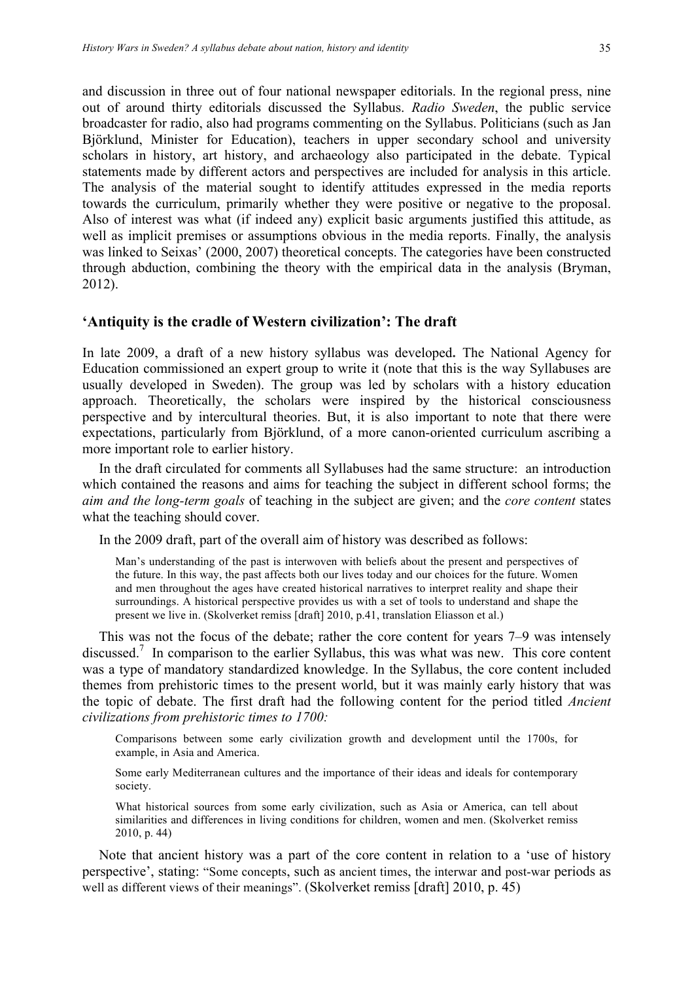and discussion in three out of four national newspaper editorials. In the regional press, nine out of around thirty editorials discussed the Syllabus. *Radio Sweden*, the public service broadcaster for radio, also had programs commenting on the Syllabus. Politicians (such as Jan Björklund, Minister for Education), teachers in upper secondary school and university scholars in history, art history, and archaeology also participated in the debate. Typical statements made by different actors and perspectives are included for analysis in this article. The analysis of the material sought to identify attitudes expressed in the media reports towards the curriculum, primarily whether they were positive or negative to the proposal. Also of interest was what (if indeed any) explicit basic arguments justified this attitude, as well as implicit premises or assumptions obvious in the media reports. Finally, the analysis was linked to Seixas' (2000, 2007) theoretical concepts. The categories have been constructed through abduction, combining the theory with the empirical data in the analysis (Bryman, 2012).

## **'Antiquity is the cradle of Western civilization': The draft**

In late 2009, a draft of a new history syllabus was developed**.** The National Agency for Education commissioned an expert group to write it (note that this is the way Syllabuses are usually developed in Sweden). The group was led by scholars with a history education approach. Theoretically, the scholars were inspired by the historical consciousness perspective and by intercultural theories. But, it is also important to note that there were expectations, particularly from Björklund, of a more canon-oriented curriculum ascribing a more important role to earlier history.

In the draft circulated for comments all Syllabuses had the same structure: an introduction which contained the reasons and aims for teaching the subject in different school forms; the *aim and the long-term goals* of teaching in the subject are given; and the *core content* states what the teaching should cover.

In the 2009 draft, part of the overall aim of history was described as follows:

Man's understanding of the past is interwoven with beliefs about the present and perspectives of the future. In this way, the past affects both our lives today and our choices for the future. Women and men throughout the ages have created historical narratives to interpret reality and shape their surroundings. A historical perspective provides us with a set of tools to understand and shape the present we live in. (Skolverket remiss [draft] 2010, p.41, translation Eliasson et al.)

This was not the focus of the debate; rather the core content for years 7–9 was intensely discussed.<sup>7</sup> In comparison to the earlier Syllabus, this was what was new. This core content was a type of mandatory standardized knowledge. In the Syllabus, the core content included themes from prehistoric times to the present world, but it was mainly early history that was the topic of debate. The first draft had the following content for the period titled *Ancient civilizations from prehistoric times to 1700:*

Comparisons between some early civilization growth and development until the 1700s, for example, in Asia and America.

Some early Mediterranean cultures and the importance of their ideas and ideals for contemporary society.

What historical sources from some early civilization, such as Asia or America, can tell about similarities and differences in living conditions for children, women and men. (Skolverket remiss 2010, p. 44)

Note that ancient history was a part of the core content in relation to a 'use of history perspective', stating: "Some concepts, such as ancient times, the interwar and post-war periods as well as different views of their meanings". (Skolverket remiss [draft] 2010, p. 45)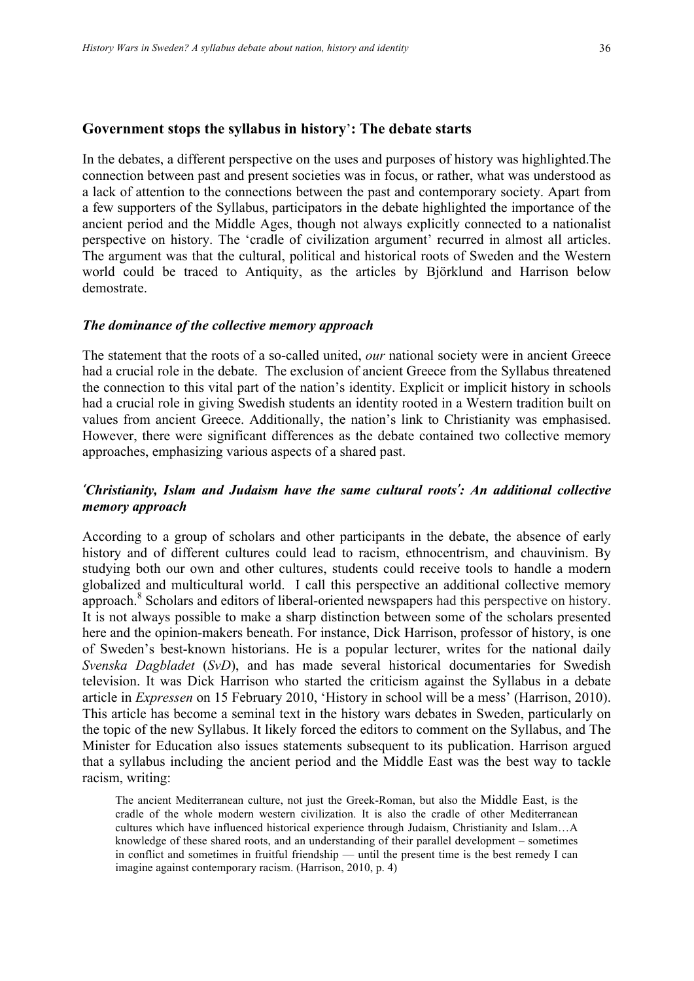#### **Government stops the syllabus in history**'**: The debate starts**

In the debates, a different perspective on the uses and purposes of history was highlighted.The connection between past and present societies was in focus, or rather, what was understood as a lack of attention to the connections between the past and contemporary society. Apart from a few supporters of the Syllabus, participators in the debate highlighted the importance of the ancient period and the Middle Ages, though not always explicitly connected to a nationalist perspective on history. The 'cradle of civilization argument' recurred in almost all articles. The argument was that the cultural, political and historical roots of Sweden and the Western world could be traced to Antiquity, as the articles by Björklund and Harrison below demostrate.

#### *The dominance of the collective memory approach*

The statement that the roots of a so-called united, *our* national society were in ancient Greece had a crucial role in the debate. The exclusion of ancient Greece from the Syllabus threatened the connection to this vital part of the nation's identity. Explicit or implicit history in schools had a crucial role in giving Swedish students an identity rooted in a Western tradition built on values from ancient Greece. Additionally, the nation's link to Christianity was emphasised. However, there were significant differences as the debate contained two collective memory approaches, emphasizing various aspects of a shared past.

# *'Christianity, Islam and Judaism have the same cultural roots': An additional collective memory approach*

According to a group of scholars and other participants in the debate, the absence of early history and of different cultures could lead to racism, ethnocentrism, and chauvinism. By studying both our own and other cultures, students could receive tools to handle a modern globalized and multicultural world. I call this perspective an additional collective memory approach.<sup>8</sup> Scholars and editors of liberal-oriented newspapers had this perspective on history. It is not always possible to make a sharp distinction between some of the scholars presented here and the opinion-makers beneath. For instance, Dick Harrison, professor of history, is one of Sweden's best-known historians. He is a popular lecturer, writes for the national daily *Svenska Dagbladet* (*SvD*), and has made several historical documentaries for Swedish television. It was Dick Harrison who started the criticism against the Syllabus in a debate article in *Expressen* on 15 February 2010, 'History in school will be a mess' (Harrison, 2010). This article has become a seminal text in the history wars debates in Sweden, particularly on the topic of the new Syllabus. It likely forced the editors to comment on the Syllabus, and The Minister for Education also issues statements subsequent to its publication. Harrison argued that a syllabus including the ancient period and the Middle East was the best way to tackle racism, writing:

The ancient Mediterranean culture, not just the Greek-Roman, but also the Middle East, is the cradle of the whole modern western civilization. It is also the cradle of other Mediterranean cultures which have influenced historical experience through Judaism, Christianity and Islam…A knowledge of these shared roots, and an understanding of their parallel development – sometimes in conflict and sometimes in fruitful friendship — until the present time is the best remedy I can imagine against contemporary racism. (Harrison, 2010, p. 4)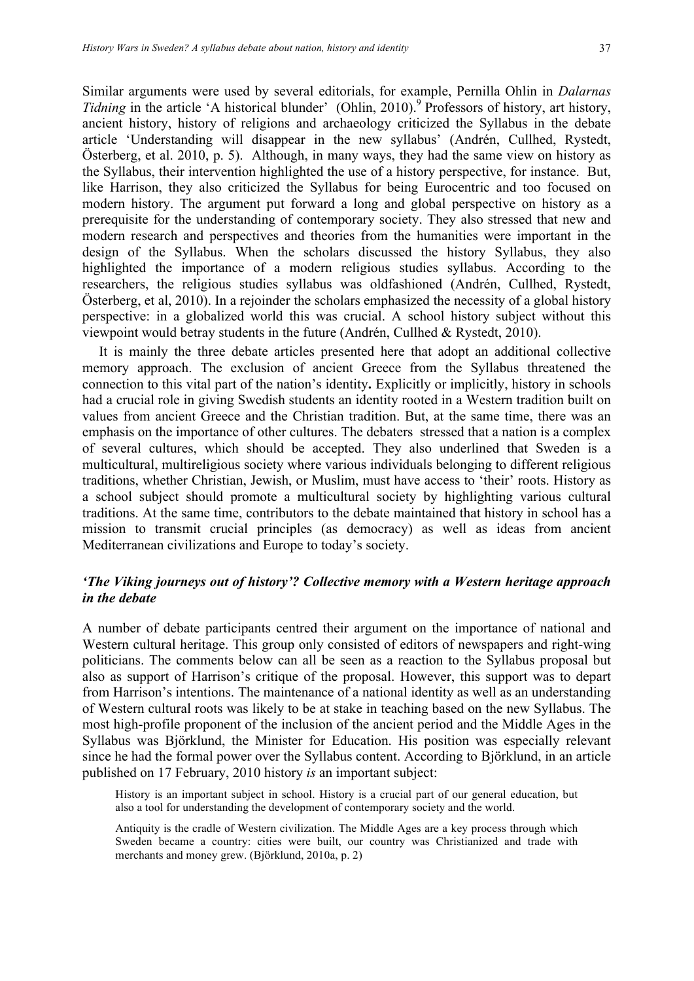Similar arguments were used by several editorials, for example, Pernilla Ohlin in *Dalarnas Tidning* in the article 'A historical blunder' (Ohlin, 2010).<sup>9</sup> Professors of history, art history, ancient history, history of religions and archaeology criticized the Syllabus in the debate article 'Understanding will disappear in the new syllabus' (Andrén, Cullhed, Rystedt, Österberg, et al. 2010, p. 5). Although, in many ways, they had the same view on history as the Syllabus, their intervention highlighted the use of a history perspective, for instance. But, like Harrison, they also criticized the Syllabus for being Eurocentric and too focused on modern history. The argument put forward a long and global perspective on history as a prerequisite for the understanding of contemporary society. They also stressed that new and modern research and perspectives and theories from the humanities were important in the design of the Syllabus. When the scholars discussed the history Syllabus, they also highlighted the importance of a modern religious studies syllabus. According to the researchers, the religious studies syllabus was oldfashioned (Andrén, Cullhed, Rystedt, Österberg, et al, 2010). In a rejoinder the scholars emphasized the necessity of a global history perspective: in a globalized world this was crucial. A school history subject without this viewpoint would betray students in the future (Andrén, Cullhed & Rystedt, 2010).

It is mainly the three debate articles presented here that adopt an additional collective memory approach. The exclusion of ancient Greece from the Syllabus threatened the connection to this vital part of the nation's identity**.** Explicitly or implicitly, history in schools had a crucial role in giving Swedish students an identity rooted in a Western tradition built on values from ancient Greece and the Christian tradition. But, at the same time, there was an emphasis on the importance of other cultures. The debaters stressed that a nation is a complex of several cultures, which should be accepted. They also underlined that Sweden is a multicultural, multireligious society where various individuals belonging to different religious traditions, whether Christian, Jewish, or Muslim, must have access to 'their' roots. History as a school subject should promote a multicultural society by highlighting various cultural traditions. At the same time, contributors to the debate maintained that history in school has a mission to transmit crucial principles (as democracy) as well as ideas from ancient Mediterranean civilizations and Europe to today's society.

# *'The Viking journeys out of history'? Collective memory with a Western heritage approach in the debate*

A number of debate participants centred their argument on the importance of national and Western cultural heritage. This group only consisted of editors of newspapers and right-wing politicians. The comments below can all be seen as a reaction to the Syllabus proposal but also as support of Harrison's critique of the proposal. However, this support was to depart from Harrison's intentions. The maintenance of a national identity as well as an understanding of Western cultural roots was likely to be at stake in teaching based on the new Syllabus. The most high-profile proponent of the inclusion of the ancient period and the Middle Ages in the Syllabus was Björklund, the Minister for Education. His position was especially relevant since he had the formal power over the Syllabus content. According to Björklund, in an article published on 17 February, 2010 history *is* an important subject:

History is an important subject in school. History is a crucial part of our general education, but also a tool for understanding the development of contemporary society and the world.

Antiquity is the cradle of Western civilization. The Middle Ages are a key process through which Sweden became a country: cities were built, our country was Christianized and trade with merchants and money grew. (Björklund, 2010a, p. 2)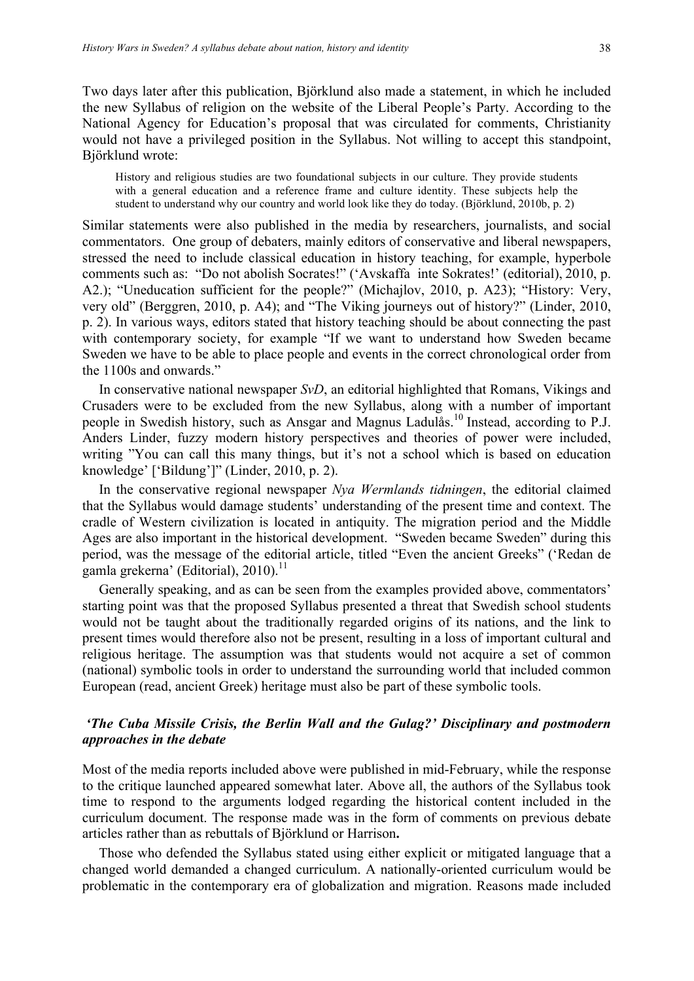Two days later after this publication, Björklund also made a statement, in which he included the new Syllabus of religion on the website of the Liberal People's Party. According to the National Agency for Education's proposal that was circulated for comments, Christianity would not have a privileged position in the Syllabus. Not willing to accept this standpoint, Björklund wrote:

History and religious studies are two foundational subjects in our culture. They provide students with a general education and a reference frame and culture identity. These subjects help the student to understand why our country and world look like they do today. (Björklund, 2010b, p. 2)

Similar statements were also published in the media by researchers, journalists, and social commentators. One group of debaters, mainly editors of conservative and liberal newspapers, stressed the need to include classical education in history teaching, for example, hyperbole comments such as: "Do not abolish Socrates!" ('Avskaffa inte Sokrates!' (editorial), 2010, p. A2.); "Uneducation sufficient for the people?" (Michajlov, 2010, p. A23); "History: Very, very old" (Berggren, 2010, p. A4); and "The Viking journeys out of history?" (Linder, 2010, p. 2). In various ways, editors stated that history teaching should be about connecting the past with contemporary society, for example "If we want to understand how Sweden became Sweden we have to be able to place people and events in the correct chronological order from the 1100s and onwards."

In conservative national newspaper *SvD*, an editorial highlighted that Romans, Vikings and Crusaders were to be excluded from the new Syllabus, along with a number of important people in Swedish history, such as Ansgar and Magnus Ladulås.<sup>10</sup> Instead, according to P.J. Anders Linder, fuzzy modern history perspectives and theories of power were included, writing "You can call this many things, but it's not a school which is based on education knowledge' ['Bildung']" (Linder, 2010, p. 2).

In the conservative regional newspaper *Nya Wermlands tidningen*, the editorial claimed that the Syllabus would damage students' understanding of the present time and context. The cradle of Western civilization is located in antiquity. The migration period and the Middle Ages are also important in the historical development. "Sweden became Sweden" during this period, was the message of the editorial article, titled "Even the ancient Greeks" ('Redan de gamla grekerna' (Editorial), 2010). 11

Generally speaking, and as can be seen from the examples provided above, commentators' starting point was that the proposed Syllabus presented a threat that Swedish school students would not be taught about the traditionally regarded origins of its nations, and the link to present times would therefore also not be present, resulting in a loss of important cultural and religious heritage. The assumption was that students would not acquire a set of common (national) symbolic tools in order to understand the surrounding world that included common European (read, ancient Greek) heritage must also be part of these symbolic tools.

# *'The Cuba Missile Crisis, the Berlin Wall and the Gulag?' Disciplinary and postmodern approaches in the debate*

Most of the media reports included above were published in mid-February, while the response to the critique launched appeared somewhat later. Above all, the authors of the Syllabus took time to respond to the arguments lodged regarding the historical content included in the curriculum document. The response made was in the form of comments on previous debate articles rather than as rebuttals of Björklund or Harrison**.**

Those who defended the Syllabus stated using either explicit or mitigated language that a changed world demanded a changed curriculum. A nationally-oriented curriculum would be problematic in the contemporary era of globalization and migration. Reasons made included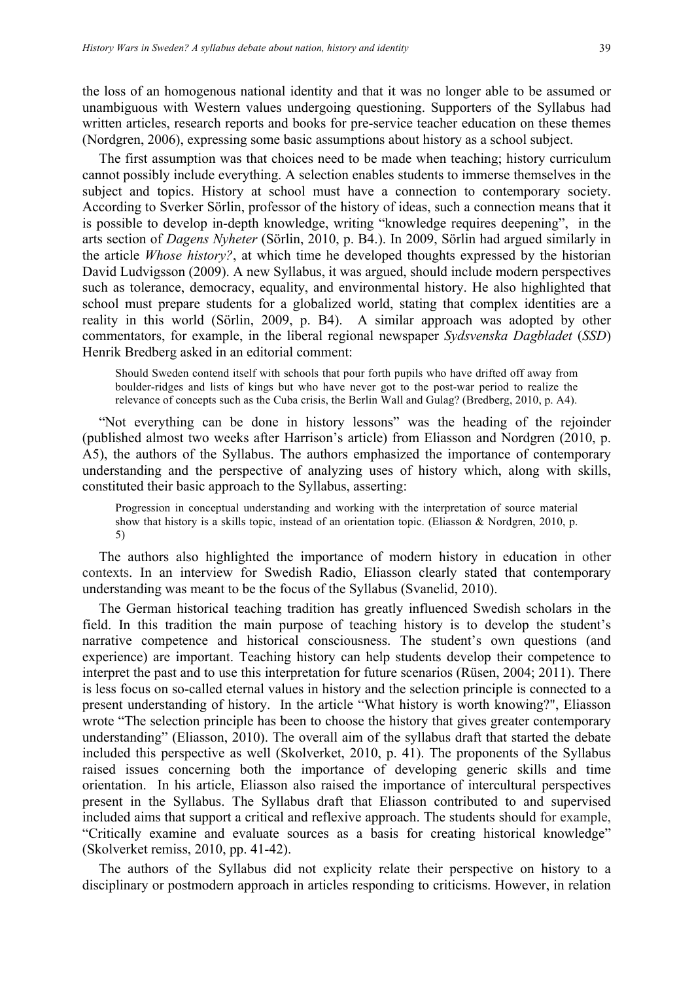the loss of an homogenous national identity and that it was no longer able to be assumed or unambiguous with Western values undergoing questioning. Supporters of the Syllabus had written articles, research reports and books for pre-service teacher education on these themes (Nordgren, 2006), expressing some basic assumptions about history as a school subject.

The first assumption was that choices need to be made when teaching; history curriculum cannot possibly include everything. A selection enables students to immerse themselves in the subject and topics. History at school must have a connection to contemporary society. According to Sverker Sörlin, professor of the history of ideas, such a connection means that it is possible to develop in-depth knowledge, writing "knowledge requires deepening", in the arts section of *Dagens Nyheter* (Sörlin, 2010, p. B4.). In 2009, Sörlin had argued similarly in the article *Whose history?*, at which time he developed thoughts expressed by the historian David Ludvigsson (2009). A new Syllabus, it was argued, should include modern perspectives such as tolerance, democracy, equality, and environmental history. He also highlighted that school must prepare students for a globalized world, stating that complex identities are a reality in this world (Sörlin, 2009, p. B4). A similar approach was adopted by other commentators, for example, in the liberal regional newspaper *Sydsvenska Dagbladet* (*SSD*) Henrik Bredberg asked in an editorial comment:

Should Sweden contend itself with schools that pour forth pupils who have drifted off away from boulder-ridges and lists of kings but who have never got to the post-war period to realize the relevance of concepts such as the Cuba crisis, the Berlin Wall and Gulag? (Bredberg, 2010, p. A4).

"Not everything can be done in history lessons" was the heading of the rejoinder (published almost two weeks after Harrison's article) from Eliasson and Nordgren (2010, p. A5), the authors of the Syllabus. The authors emphasized the importance of contemporary understanding and the perspective of analyzing uses of history which, along with skills, constituted their basic approach to the Syllabus, asserting:

Progression in conceptual understanding and working with the interpretation of source material show that history is a skills topic, instead of an orientation topic. (Eliasson & Nordgren, 2010, p. 5)

The authors also highlighted the importance of modern history in education in other contexts. In an interview for Swedish Radio, Eliasson clearly stated that contemporary understanding was meant to be the focus of the Syllabus (Svanelid, 2010).

The German historical teaching tradition has greatly influenced Swedish scholars in the field. In this tradition the main purpose of teaching history is to develop the student's narrative competence and historical consciousness. The student's own questions (and experience) are important. Teaching history can help students develop their competence to interpret the past and to use this interpretation for future scenarios (Rüsen, 2004; 2011). There is less focus on so-called eternal values in history and the selection principle is connected to a present understanding of history. In the article "What history is worth knowing?", Eliasson wrote "The selection principle has been to choose the history that gives greater contemporary understanding" (Eliasson, 2010). The overall aim of the syllabus draft that started the debate included this perspective as well (Skolverket, 2010, p. 41). The proponents of the Syllabus raised issues concerning both the importance of developing generic skills and time orientation. In his article, Eliasson also raised the importance of intercultural perspectives present in the Syllabus. The Syllabus draft that Eliasson contributed to and supervised included aims that support a critical and reflexive approach. The students should for example, "Critically examine and evaluate sources as a basis for creating historical knowledge" (Skolverket remiss, 2010, pp. 41-42).

The authors of the Syllabus did not explicity relate their perspective on history to a disciplinary or postmodern approach in articles responding to criticisms. However, in relation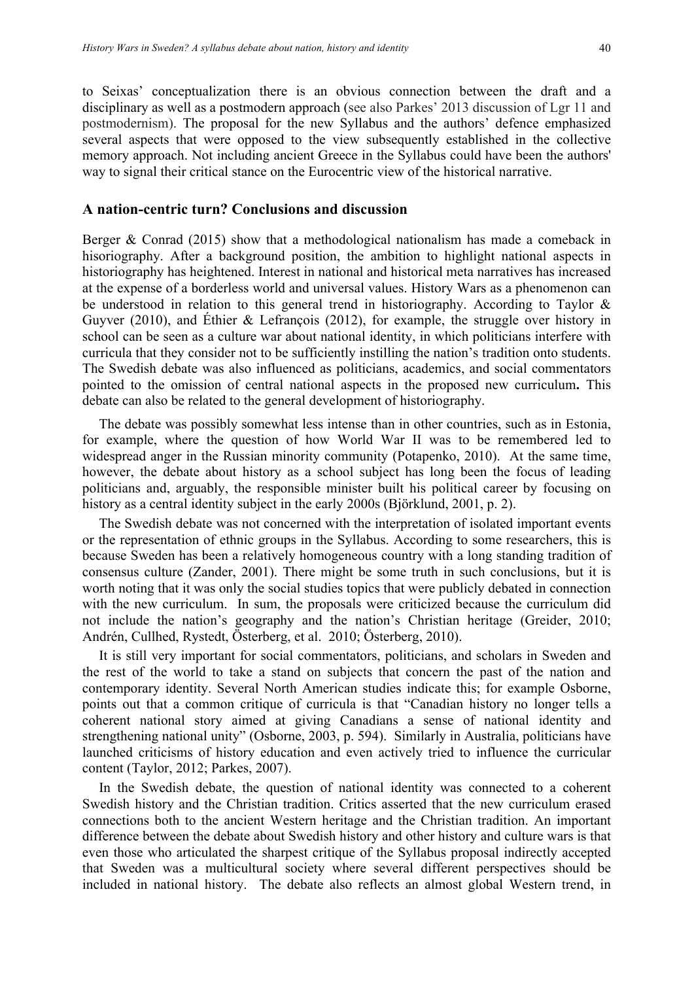to Seixas' conceptualization there is an obvious connection between the draft and a disciplinary as well as a postmodern approach (see also Parkes' 2013 discussion of Lgr 11 and postmodernism). The proposal for the new Syllabus and the authors' defence emphasized several aspects that were opposed to the view subsequently established in the collective memory approach. Not including ancient Greece in the Syllabus could have been the authors' way to signal their critical stance on the Eurocentric view of the historical narrative.

#### **A nation-centric turn? Conclusions and discussion**

Berger & Conrad (2015) show that a methodological nationalism has made a comeback in hisoriography. After a background position, the ambition to highlight national aspects in historiography has heightened. Interest in national and historical meta narratives has increased at the expense of a borderless world and universal values. History Wars as a phenomenon can be understood in relation to this general trend in historiography. According to Taylor & Guyver (2010), and Éthier & Lefrançois (2012), for example, the struggle over history in school can be seen as a culture war about national identity, in which politicians interfere with curricula that they consider not to be sufficiently instilling the nation's tradition onto students. The Swedish debate was also influenced as politicians, academics, and social commentators pointed to the omission of central national aspects in the proposed new curriculum**.** This debate can also be related to the general development of historiography.

The debate was possibly somewhat less intense than in other countries, such as in Estonia, for example, where the question of how World War II was to be remembered led to widespread anger in the Russian minority community (Potapenko, 2010). At the same time, however, the debate about history as a school subject has long been the focus of leading politicians and, arguably, the responsible minister built his political career by focusing on history as a central identity subject in the early 2000s (Björklund, 2001, p. 2).

The Swedish debate was not concerned with the interpretation of isolated important events or the representation of ethnic groups in the Syllabus. According to some researchers, this is because Sweden has been a relatively homogeneous country with a long standing tradition of consensus culture (Zander, 2001). There might be some truth in such conclusions, but it is worth noting that it was only the social studies topics that were publicly debated in connection with the new curriculum. In sum, the proposals were criticized because the curriculum did not include the nation's geography and the nation's Christian heritage (Greider, 2010; Andrén, Cullhed, Rystedt, Österberg, et al. 2010; Österberg, 2010).

It is still very important for social commentators, politicians, and scholars in Sweden and the rest of the world to take a stand on subjects that concern the past of the nation and contemporary identity. Several North American studies indicate this; for example Osborne, points out that a common critique of curricula is that "Canadian history no longer tells a coherent national story aimed at giving Canadians a sense of national identity and strengthening national unity" (Osborne, 2003, p. 594). Similarly in Australia, politicians have launched criticisms of history education and even actively tried to influence the curricular content (Taylor, 2012; Parkes, 2007).

In the Swedish debate, the question of national identity was connected to a coherent Swedish history and the Christian tradition. Critics asserted that the new curriculum erased connections both to the ancient Western heritage and the Christian tradition. An important difference between the debate about Swedish history and other history and culture wars is that even those who articulated the sharpest critique of the Syllabus proposal indirectly accepted that Sweden was a multicultural society where several different perspectives should be included in national history. The debate also reflects an almost global Western trend, in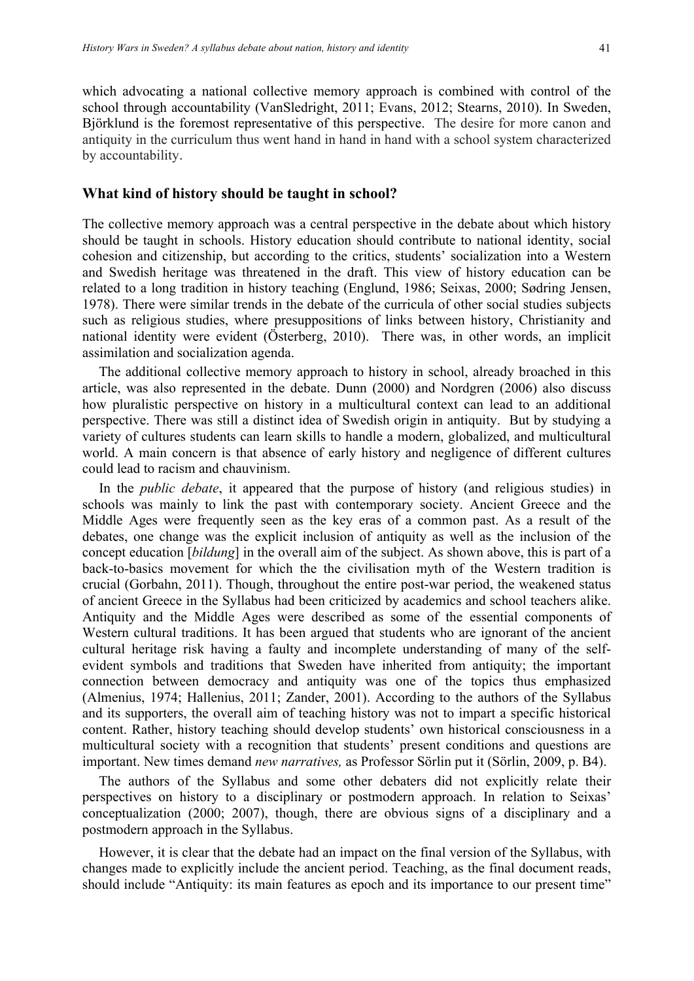which advocating a national collective memory approach is combined with control of the school through accountability (VanSledright, 2011; Evans, 2012; Stearns, 2010). In Sweden, Björklund is the foremost representative of this perspective. The desire for more canon and antiquity in the curriculum thus went hand in hand in hand with a school system characterized by accountability.

#### **What kind of history should be taught in school?**

The collective memory approach was a central perspective in the debate about which history should be taught in schools. History education should contribute to national identity, social cohesion and citizenship, but according to the critics, students' socialization into a Western and Swedish heritage was threatened in the draft. This view of history education can be related to a long tradition in history teaching (Englund, 1986; Seixas, 2000; Sødring Jensen, 1978). There were similar trends in the debate of the curricula of other social studies subjects such as religious studies, where presuppositions of links between history, Christianity and national identity were evident (Österberg, 2010). There was, in other words, an implicit assimilation and socialization agenda.

The additional collective memory approach to history in school, already broached in this article, was also represented in the debate. Dunn (2000) and Nordgren (2006) also discuss how pluralistic perspective on history in a multicultural context can lead to an additional perspective. There was still a distinct idea of Swedish origin in antiquity. But by studying a variety of cultures students can learn skills to handle a modern, globalized, and multicultural world. A main concern is that absence of early history and negligence of different cultures could lead to racism and chauvinism.

In the *public debate*, it appeared that the purpose of history (and religious studies) in schools was mainly to link the past with contemporary society. Ancient Greece and the Middle Ages were frequently seen as the key eras of a common past. As a result of the debates, one change was the explicit inclusion of antiquity as well as the inclusion of the concept education [*bildung*] in the overall aim of the subject. As shown above, this is part of a back-to-basics movement for which the the civilisation myth of the Western tradition is crucial (Gorbahn, 2011). Though, throughout the entire post-war period, the weakened status of ancient Greece in the Syllabus had been criticized by academics and school teachers alike. Antiquity and the Middle Ages were described as some of the essential components of Western cultural traditions. It has been argued that students who are ignorant of the ancient cultural heritage risk having a faulty and incomplete understanding of many of the selfevident symbols and traditions that Sweden have inherited from antiquity; the important connection between democracy and antiquity was one of the topics thus emphasized (Almenius, 1974; Hallenius, 2011; Zander, 2001). According to the authors of the Syllabus and its supporters, the overall aim of teaching history was not to impart a specific historical content. Rather, history teaching should develop students' own historical consciousness in a multicultural society with a recognition that students' present conditions and questions are important. New times demand *new narratives,* as Professor Sörlin put it (Sörlin, 2009, p. B4).

The authors of the Syllabus and some other debaters did not explicitly relate their perspectives on history to a disciplinary or postmodern approach. In relation to Seixas' conceptualization (2000; 2007), though, there are obvious signs of a disciplinary and a postmodern approach in the Syllabus.

However, it is clear that the debate had an impact on the final version of the Syllabus, with changes made to explicitly include the ancient period. Teaching, as the final document reads, should include "Antiquity: its main features as epoch and its importance to our present time"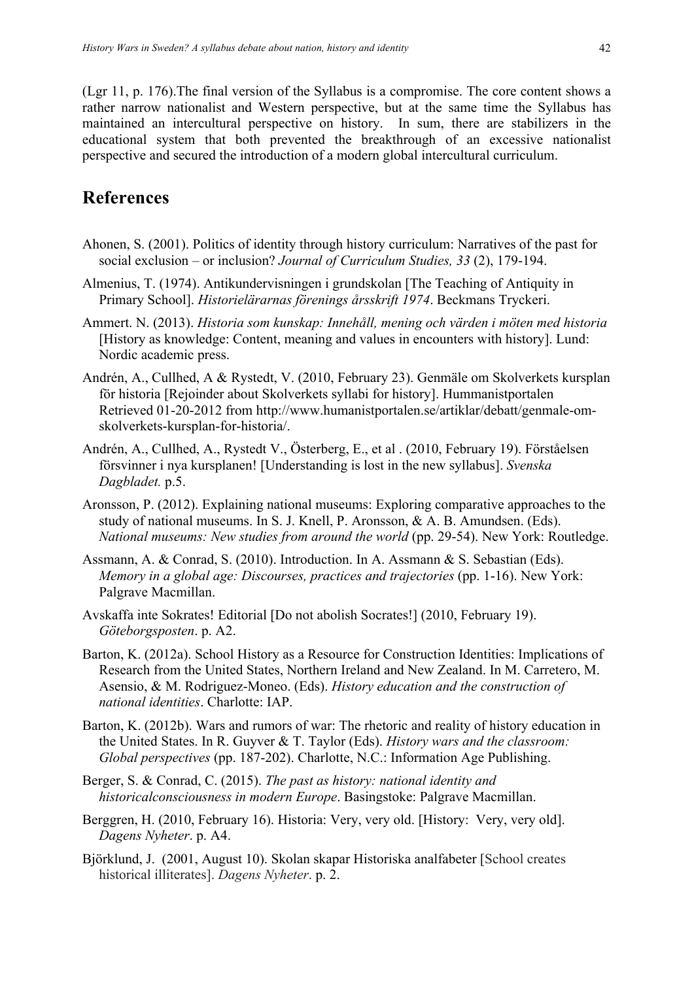(Lgr 11, p. 176).The final version of the Syllabus is a compromise. The core content shows a rather narrow nationalist and Western perspective, but at the same time the Syllabus has maintained an intercultural perspective on history. In sum, there are stabilizers in the educational system that both prevented the breakthrough of an excessive nationalist perspective and secured the introduction of a modern global intercultural curriculum.

# **References**

- Ahonen, S. (2001). Politics of identity through history curriculum: Narratives of the past for social exclusion – or inclusion? *Journal of Curriculum Studies, 33* (2), 179-194.
- Almenius, T. (1974). Antikundervisningen i grundskolan [The Teaching of Antiquity in Primary School]. *Historielärarnas förenings årsskrift 1974*. Beckmans Tryckeri.
- Ammert. N. (2013). *Historia som kunskap: Innehåll, mening och värden i möten med historia*  [History as knowledge: Content, meaning and values in encounters with history]. Lund: Nordic academic press.
- Andrén, A., Cullhed, A & Rystedt, V. (2010, February 23). Genmäle om Skolverkets kursplan för historia [Rejoinder about Skolverkets syllabi for history]. Hummanistportalen Retrieved 01-20-2012 from http://www.humanistportalen.se/artiklar/debatt/genmale-omskolverkets-kursplan-for-historia/.
- Andrén, A., Cullhed, A., Rystedt V., Österberg, E., et al . (2010, February 19). Förståelsen försvinner i nya kursplanen! [Understanding is lost in the new syllabus]. *Svenska Dagbladet.* p.5.
- Aronsson, P. (2012). Explaining national museums: Exploring comparative approaches to the study of national museums. In S. J. Knell, P. Aronsson, & A. B. Amundsen. (Eds). *National museums: New studies from around the world* (pp. 29-54). New York: Routledge.
- Assmann, A. & Conrad, S. (2010). Introduction. In A. Assmann & S. Sebastian (Eds). *Memory in a global age: Discourses, practices and trajectories* (pp. 1-16). New York: Palgrave Macmillan.
- Avskaffa inte Sokrates! Editorial [Do not abolish Socrates!] (2010, February 19). *Göteborgsposten*. p. A2.
- Barton, K. (2012a). School History as a Resource for Construction Identities: Implications of Research from the United States, Northern Ireland and New Zealand. In M. Carretero, M. Asensio, & M. Rodriguez-Moneo. (Eds). *History education and the construction of national identities*. Charlotte: IAP.
- Barton, K. (2012b). Wars and rumors of war: The rhetoric and reality of history education in the United States. In R. Guyver & T. Taylor (Eds). *History wars and the classroom: Global perspectives* (pp. 187-202). Charlotte, N.C.: Information Age Publishing.
- Berger, S. & Conrad, C. (2015). *The past as history: national identity and historicalconsciousness in modern Europe*. Basingstoke: Palgrave Macmillan.
- Berggren, H. (2010, February 16). Historia: Very, very old. [History: Very, very old]. *Dagens Nyheter*. p. A4.
- Björklund, J. (2001, August 10). Skolan skapar Historiska analfabeter [School creates historical illiterates]. *Dagens Nyheter*. p. 2.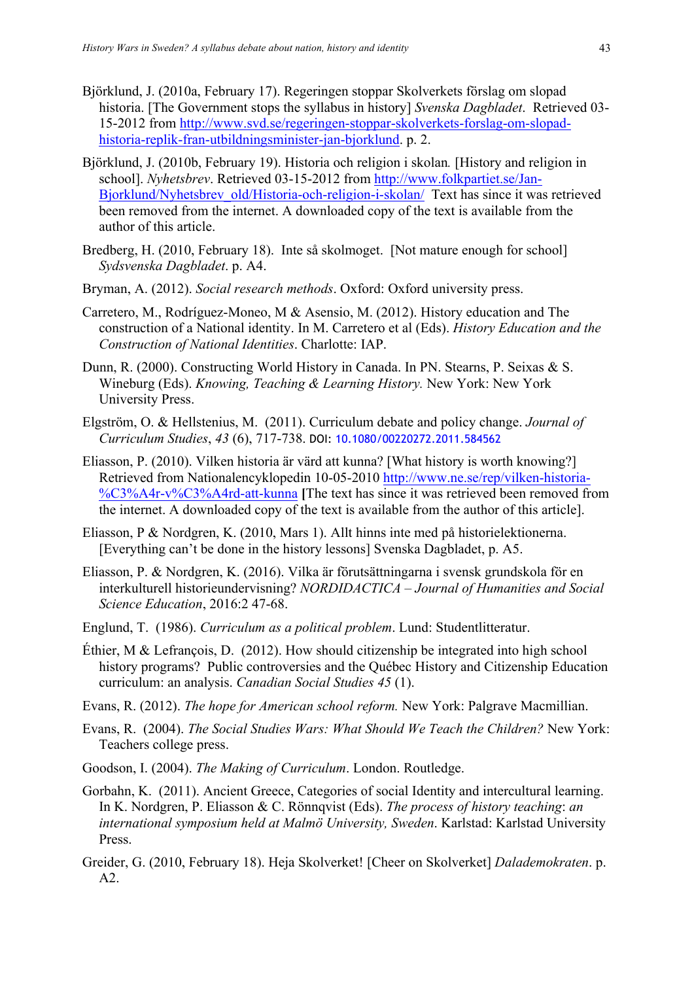- Björklund, J. (2010a, February 17). Regeringen stoppar Skolverkets förslag om slopad historia. [The Government stops the syllabus in history] *Svenska Dagbladet*. Retrieved 03- 15-2012 from http://www.svd.se/regeringen-stoppar-skolverkets-forslag-om-slopadhistoria-replik-fran-utbildningsminister-jan-bjorklund. p. 2.
- Björklund, J. (2010b, February 19). Historia och religion i skolan*.* [History and religion in school]. *Nyhetsbrev*. Retrieved 03-15-2012 from http://www.folkpartiet.se/Jan-Bjorklund/Nyhetsbrev\_old/Historia-och-religion-i-skolan/ Text has since it was retrieved been removed from the internet. A downloaded copy of the text is available from the author of this article.
- Bredberg, H. (2010, February 18). Inte så skolmoget. [Not mature enough for school] *Sydsvenska Dagbladet*. p. A4.
- Bryman, A. (2012). *Social research methods*. Oxford: Oxford university press.
- Carretero, M., Rodríguez-Moneo, M & Asensio, M. (2012). History education and The construction of a National identity. In M. Carretero et al (Eds). *History Education and the Construction of National Identities*. Charlotte: IAP.
- Dunn, R. (2000). Constructing World History in Canada. In PN. Stearns, P. Seixas & S. Wineburg (Eds). *Knowing, Teaching & Learning History.* New York: New York University Press.
- Elgström, O. & Hellstenius, M. (2011). Curriculum debate and policy change. *Journal of Curriculum Studies*, *43* (6), 717-738. DOI: 10.1080/00220272.2011.584562
- Eliasson, P. (2010). Vilken historia är värd att kunna? [What history is worth knowing?] Retrieved from Nationalencyklopedin 10-05-2010 http://www.ne.se/rep/vilken-historia- %C3%A4r-v%C3%A4rd-att-kunna **[**The text has since it was retrieved been removed from the internet. A downloaded copy of the text is available from the author of this article].
- Eliasson, P & Nordgren, K. (2010, Mars 1). Allt hinns inte med på historielektionerna. [Everything can't be done in the history lessons] Svenska Dagbladet, p. A5.
- Eliasson, P. & Nordgren, K. (2016). Vilka är förutsättningarna i svensk grundskola för en interkulturell historieundervisning? *NORDIDACTICA – Journal of Humanities and Social Science Education*, 2016:2 47-68.
- Englund, T. (1986). *Curriculum as a political problem*. Lund: Studentlitteratur.
- Éthier, M & Lefrançois, D. (2012). How should citizenship be integrated into high school history programs? Public controversies and the Québec History and Citizenship Education curriculum: an analysis. *Canadian Social Studies 45* (1).
- Evans, R. (2012). *The hope for American school reform.* New York: Palgrave Macmillian.
- Evans, R. (2004). *The Social Studies Wars: What Should We Teach the Children?* New York: Teachers college press.
- Goodson, I. (2004). *The Making of Curriculum*. London. Routledge.
- Gorbahn, K. (2011). Ancient Greece, Categories of social Identity and intercultural learning. In K. Nordgren, P. Eliasson & C. Rönnqvist (Eds). *The process of history teaching*: *an international symposium held at Malmö University, Sweden*. Karlstad: Karlstad University Press.
- Greider, G. (2010, February 18). Heja Skolverket! [Cheer on Skolverket] *Dalademokraten*. p. A2.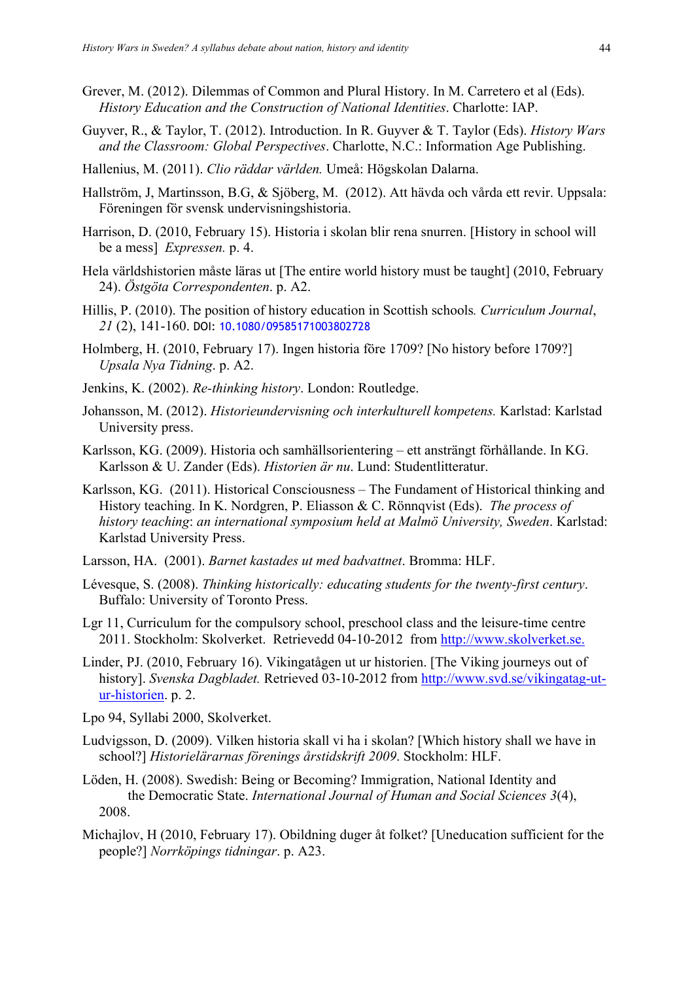- Grever, M. (2012). Dilemmas of Common and Plural History. In M. Carretero et al (Eds). *History Education and the Construction of National Identities*. Charlotte: IAP.
- Guyver, R., & Taylor, T. (2012). Introduction. In R. Guyver & T. Taylor (Eds). *History Wars and the Classroom: Global Perspectives*. Charlotte, N.C.: Information Age Publishing.
- Hallenius, M. (2011). *Clio räddar världen.* Umeå: Högskolan Dalarna.
- Hallström, J, Martinsson, B.G, & Sjöberg, M. (2012). Att hävda och vårda ett revir. Uppsala: Föreningen för svensk undervisningshistoria.
- Harrison, D. (2010, February 15). Historia i skolan blir rena snurren. [History in school will be a mess] *Expressen.* p. 4.
- Hela världshistorien måste läras ut [The entire world history must be taught] (2010, February 24). *Östgöta Correspondenten*. p. A2.
- Hillis, P. (2010). The position of history education in Scottish schools*. Curriculum Journal*, *21* (2), 141-160. DOI: 10.1080/09585171003802728
- Holmberg, H. (2010, February 17). Ingen historia före 1709? [No history before 1709?] *Upsala Nya Tidning*. p. A2.
- Jenkins, K. (2002). *Re-thinking history*. London: Routledge.
- Johansson, M. (2012). *Historieundervisning och interkulturell kompetens.* Karlstad: Karlstad University press.
- Karlsson, KG. (2009). Historia och samhällsorientering ett ansträngt förhållande. In KG. Karlsson & U. Zander (Eds). *Historien är nu*. Lund: Studentlitteratur.
- Karlsson, KG. (2011). Historical Consciousness The Fundament of Historical thinking and History teaching. In K. Nordgren, P. Eliasson & C. Rönnqvist (Eds). *The process of history teaching*: *an international symposium held at Malmö University, Sweden*. Karlstad: Karlstad University Press.
- Larsson, HA. (2001). *Barnet kastades ut med badvattnet*. Bromma: HLF.
- Lévesque, S. (2008). *Thinking historically: educating students for the twenty-first century*. Buffalo: University of Toronto Press.
- Lgr 11, Curriculum for the compulsory school, preschool class and the leisure-time centre 2011. Stockholm: Skolverket. Retrievedd 04-10-2012 from http://www.skolverket.se.
- Linder, PJ. (2010, February 16). Vikingatågen ut ur historien. [The Viking journeys out of history]. *Svenska Dagbladet.* Retrieved 03-10-2012 from http://www.svd.se/vikingatag-utur-historien. p. 2.
- Lpo 94, Syllabi 2000, Skolverket.
- Ludvigsson, D. (2009). Vilken historia skall vi ha i skolan? [Which history shall we have in school?] *Historielärarnas förenings årstidskrift 2009*. Stockholm: HLF.
- Löden, H. (2008). Swedish: Being or Becoming? Immigration, National Identity and the Democratic State. *International Journal of Human and Social Sciences 3*(4), 2008.
- Michajlov, H (2010, February 17). Obildning duger åt folket? [Uneducation sufficient for the people?] *Norrköpings tidningar*. p. A23.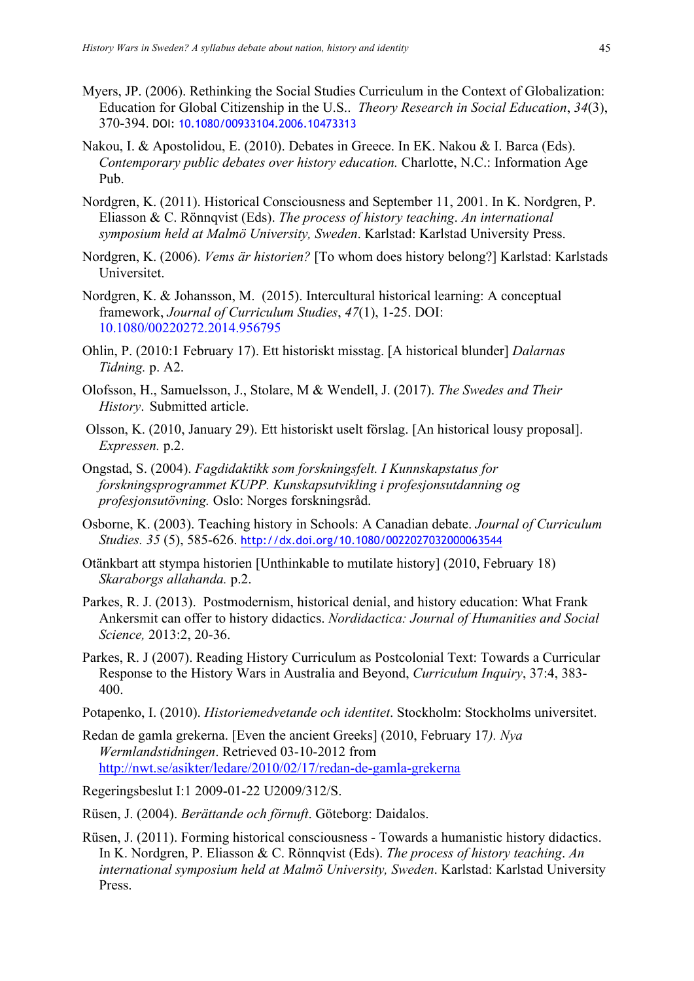- Myers, JP. (2006). Rethinking the Social Studies Curriculum in the Context of Globalization: Education for Global Citizenship in the U.S.. *Theory Research in Social Education*, *34*(3), 370-394. DOI: 10.1080/00933104.2006.10473313
- Nakou, I. & Apostolidou, E. (2010). Debates in Greece. In EK. Nakou & I. Barca (Eds). *Contemporary public debates over history education.* Charlotte, N.C.: Information Age Pub.
- Nordgren, K. (2011). Historical Consciousness and September 11, 2001. In K. Nordgren, P. Eliasson & C. Rönnqvist (Eds). *The process of history teaching*. *An international symposium held at Malmö University, Sweden*. Karlstad: Karlstad University Press.
- Nordgren, K. (2006). *Vems är historien?* [To whom does history belong?] Karlstad: Karlstads Universitet.
- Nordgren, K. & Johansson, M. (2015). Intercultural historical learning: A conceptual framework, *Journal of Curriculum Studies*, *47*(1), 1-25. DOI: 10.1080/00220272.2014.956795
- Ohlin, P. (2010:1 February 17). Ett historiskt misstag. [A historical blunder] *Dalarnas Tidning.* p. A2.
- Olofsson, H., Samuelsson, J., Stolare, M & Wendell, J. (2017). *The Swedes and Their History*. Submitted article.
- Olsson, K. (2010, January 29). Ett historiskt uselt förslag. [An historical lousy proposal]. *Expressen.* p.2.
- Ongstad, S. (2004). *Fagdidaktikk som forskningsfelt. I Kunnskapstatus for forskningsprogrammet KUPP. Kunskapsutvikling i profesjonsutdanning og profesjonsutövning.* Oslo: Norges forskningsråd.
- Osborne, K. (2003). Teaching history in Schools: A Canadian debate. *Journal of Curriculum Studies. 35* (5), 585-626. http://dx.doi.org/10.1080/0022027032000063544
- Otänkbart att stympa historien [Unthinkable to mutilate history] (2010, February 18) *Skaraborgs allahanda.* p.2.
- Parkes, R. J. (2013). Postmodernism, historical denial, and history education: What Frank Ankersmit can offer to history didactics. *Nordidactica: Journal of Humanities and Social Science,* 2013:2, 20-36.
- Parkes, R. J (2007). Reading History Curriculum as Postcolonial Text: Towards a Curricular Response to the History Wars in Australia and Beyond, *Curriculum Inquiry*, 37:4, 383- 400.
- Potapenko, I. (2010). *Historiemedvetande och identitet*. Stockholm: Stockholms universitet.
- Redan de gamla grekerna. [Even the ancient Greeks] (2010, February 17*). Nya Wermlandstidningen*. Retrieved 03-10-2012 from http://nwt.se/asikter/ledare/2010/02/17/redan-de-gamla-grekerna

Regeringsbeslut I:1 2009-01-22 U2009/312/S.

- Rüsen, J. (2004). *Berättande och förnuft*. Göteborg: Daidalos.
- Rüsen, J. (2011). Forming historical consciousness Towards a humanistic history didactics. In K. Nordgren, P. Eliasson & C. Rönnqvist (Eds). *The process of history teaching*. *An international symposium held at Malmö University, Sweden*. Karlstad: Karlstad University Press.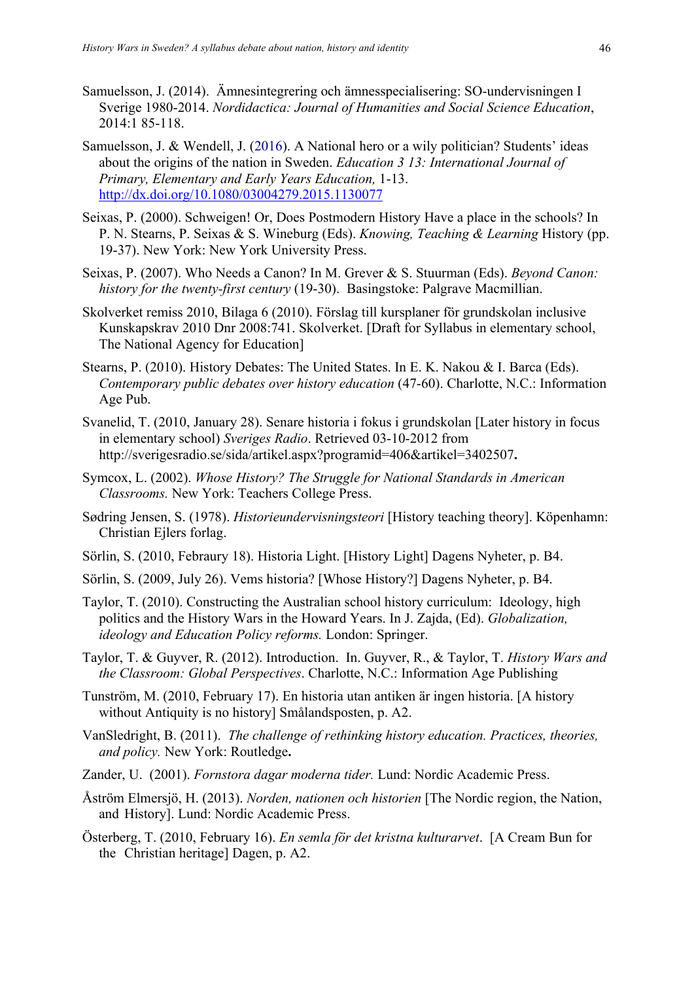- Samuelsson, J. (2014). Ämnesintegrering och ämnesspecialisering: SO-undervisningen I Sverige 1980-2014. *Nordidactica: Journal of Humanities and Social Science Education*, 2014:1 85-118.
- Samuelsson, J. & Wendell, J. (2016). A National hero or a wily politician? Students' ideas about the origins of the nation in Sweden. *Education 3 13: International Journal of Primary, Elementary and Early Years Education,* 1-13. http://dx.doi.org/10.1080/03004279.2015.1130077
- Seixas, P. (2000). Schweigen! Or, Does Postmodern History Have a place in the schools? In P. N. Stearns, P. Seixas & S. Wineburg (Eds). *Knowing, Teaching & Learning* History (pp. 19-37). New York: New York University Press.
- Seixas, P. (2007). Who Needs a Canon? In M. Grever & S. Stuurman (Eds). *Beyond Canon: history for the twenty-first century* (19-30). Basingstoke: Palgrave Macmillian.
- Skolverket remiss 2010, Bilaga 6 (2010). Förslag till kursplaner för grundskolan inclusive Kunskapskrav 2010 Dnr 2008:741. Skolverket. [Draft for Syllabus in elementary school, The National Agency for Education]
- Stearns, P. (2010). History Debates: The United States. In E. K. Nakou & I. Barca (Eds). *Contemporary public debates over history education* (47-60). Charlotte, N.C.: Information Age Pub.
- Svanelid, T. (2010, January 28). Senare historia i fokus i grundskolan [Later history in focus in elementary school) *Sveriges Radio*. Retrieved 03-10-2012 from http://sverigesradio.se/sida/artikel.aspx?programid=406&artikel=3402507**.**
- Symcox, L. (2002). *Whose History? The Struggle for National Standards in American Classrooms.* New York: Teachers College Press.
- Sødring Jensen, S. (1978). *Historieundervisningsteori* [History teaching theory]. Köpenhamn: Christian Ejlers forlag.
- Sörlin, S. (2010, Febraury 18). Historia Light. [History Light] Dagens Nyheter, p. B4.
- Sörlin, S. (2009, July 26). Vems historia? [Whose History?] Dagens Nyheter, p. B4.
- Taylor, T. (2010). Constructing the Australian school history curriculum: Ideology, high politics and the History Wars in the Howard Years. In J. Zajda, (Ed). *Globalization, ideology and Education Policy reforms.* London: Springer.
- Taylor, T. & Guyver, R. (2012). Introduction. In. Guyver, R., & Taylor, T. *History Wars and the Classroom: Global Perspectives*. Charlotte, N.C.: Information Age Publishing
- Tunström, M. (2010, February 17). En historia utan antiken är ingen historia. [A history without Antiquity is no history] Smålandsposten, p. A2.
- VanSledright, B. (2011).*The challenge of rethinking history education. Practices, theories, and policy.* New York: Routledge**.**
- Zander, U. (2001). *Fornstora dagar moderna tider.* Lund: Nordic Academic Press.
- Åström Elmersjö, H. (2013). *Norden, nationen och historien* [The Nordic region, the Nation, and History]. Lund: Nordic Academic Press.
- Österberg, T. (2010, February 16). *En semla för det kristna kulturarvet*. [A Cream Bun for the Christian heritage] Dagen, p. A2.